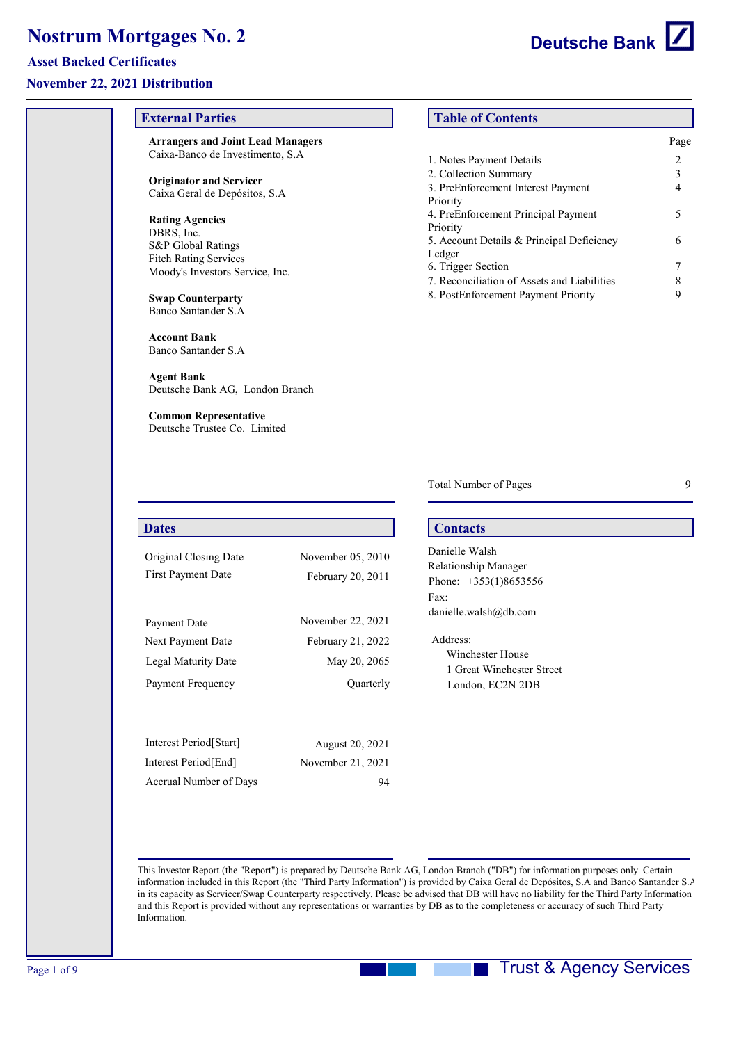**External Parties**

**Arrangers and Joint Lead Managers** Caixa-Banco de Investimento, S.A

## **Asset Backed Certificates**

#### **November 22, 2021 Distribution**

| <b>Originator and Servicer</b><br>Caixa Geral de Depósitos, S.A |                   | 2. Collection Summary<br>3. PreEnforcement Interest Payment                                                                                                                                                                                                                                                                                                                                                                   | 3<br>4 |
|-----------------------------------------------------------------|-------------------|-------------------------------------------------------------------------------------------------------------------------------------------------------------------------------------------------------------------------------------------------------------------------------------------------------------------------------------------------------------------------------------------------------------------------------|--------|
|                                                                 |                   | Priority<br>4. PreEnforcement Principal Payment                                                                                                                                                                                                                                                                                                                                                                               | 5      |
| <b>Rating Agencies</b><br>DBRS, Inc.                            |                   | Priority                                                                                                                                                                                                                                                                                                                                                                                                                      |        |
| S&P Global Ratings                                              |                   | 5. Account Details & Principal Deficiency                                                                                                                                                                                                                                                                                                                                                                                     | 6      |
| <b>Fitch Rating Services</b>                                    |                   | Ledger<br>6. Trigger Section                                                                                                                                                                                                                                                                                                                                                                                                  | 7      |
| Moody's Investors Service, Inc.                                 |                   | 7. Reconciliation of Assets and Liabilities                                                                                                                                                                                                                                                                                                                                                                                   | 8      |
| <b>Swap Counterparty</b><br>Banco Santander S.A                 |                   | 8. PostEnforcement Payment Priority                                                                                                                                                                                                                                                                                                                                                                                           | 9      |
| <b>Account Bank</b><br>Banco Santander S.A.                     |                   |                                                                                                                                                                                                                                                                                                                                                                                                                               |        |
| <b>Agent Bank</b><br>Deutsche Bank AG, London Branch            |                   |                                                                                                                                                                                                                                                                                                                                                                                                                               |        |
| <b>Common Representative</b><br>Deutsche Trustee Co. Limited    |                   |                                                                                                                                                                                                                                                                                                                                                                                                                               |        |
|                                                                 |                   |                                                                                                                                                                                                                                                                                                                                                                                                                               |        |
|                                                                 |                   | <b>Total Number of Pages</b>                                                                                                                                                                                                                                                                                                                                                                                                  | 9      |
| <b>Dates</b>                                                    |                   | <b>Contacts</b>                                                                                                                                                                                                                                                                                                                                                                                                               |        |
| Original Closing Date                                           | November 05, 2010 | Danielle Walsh                                                                                                                                                                                                                                                                                                                                                                                                                |        |
| First Payment Date                                              | February 20, 2011 | Relationship Manager                                                                                                                                                                                                                                                                                                                                                                                                          |        |
|                                                                 |                   | Phone: +353(1)8653556<br>Fax:                                                                                                                                                                                                                                                                                                                                                                                                 |        |
|                                                                 |                   | danielle.walsh@db.com                                                                                                                                                                                                                                                                                                                                                                                                         |        |
| Payment Date                                                    | November 22, 2021 |                                                                                                                                                                                                                                                                                                                                                                                                                               |        |
| Next Payment Date                                               | February 21, 2022 | Address:                                                                                                                                                                                                                                                                                                                                                                                                                      |        |
| Legal Maturity Date                                             | May 20, 2065      | Winchester House<br>1 Great Winchester Street                                                                                                                                                                                                                                                                                                                                                                                 |        |
| Payment Frequency                                               | Quarterly         | London, EC2N 2DB                                                                                                                                                                                                                                                                                                                                                                                                              |        |
|                                                                 |                   |                                                                                                                                                                                                                                                                                                                                                                                                                               |        |
| Interest Period [Start]                                         | August 20, 2021   |                                                                                                                                                                                                                                                                                                                                                                                                                               |        |
| Interest Period [End]                                           | November 21, 2021 |                                                                                                                                                                                                                                                                                                                                                                                                                               |        |
| Accrual Number of Days                                          | 94                |                                                                                                                                                                                                                                                                                                                                                                                                                               |        |
|                                                                 |                   |                                                                                                                                                                                                                                                                                                                                                                                                                               |        |
|                                                                 |                   | This Investor Report (the "Report") is prepared by Deutsche Bank AG, London Branch ("DB") for information purposes only. Certain                                                                                                                                                                                                                                                                                              |        |
| Information.                                                    |                   | information included in this Report (the "Third Party Information") is provided by Caixa Geral de Depósitos, S.A and Banco Santander S.<br>in its capacity as Servicer/Swap Counterparty respectively. Please be advised that DB will have no liability for the Third Party Information<br>and this Report is provided without any representations or warranties by DB as to the completeness or accuracy of such Third Party |        |
|                                                                 |                   |                                                                                                                                                                                                                                                                                                                                                                                                                               |        |
|                                                                 |                   | <b>Trust &amp; Agency Services</b>                                                                                                                                                                                                                                                                                                                                                                                            |        |
|                                                                 |                   |                                                                                                                                                                                                                                                                                                                                                                                                                               |        |
|                                                                 |                   |                                                                                                                                                                                                                                                                                                                                                                                                                               |        |
|                                                                 |                   |                                                                                                                                                                                                                                                                                                                                                                                                                               |        |

# **Table of Contents**

|                                             | Page |
|---------------------------------------------|------|
| 1. Notes Payment Details                    | 2    |
| 2. Collection Summary                       | 3    |
| 3. PreEnforcement Interest Payment          |      |
| Priority                                    |      |
| 4. PreEnforcement Principal Payment         | 5    |
| Priority                                    |      |
| 5. Account Details & Principal Deficiency   | 6    |
| Ledger                                      |      |
| 6. Trigger Section                          |      |
| 7. Reconciliation of Assets and Liabilities | 8    |
| 8. PostEnforcement Payment Priority         |      |
|                                             |      |

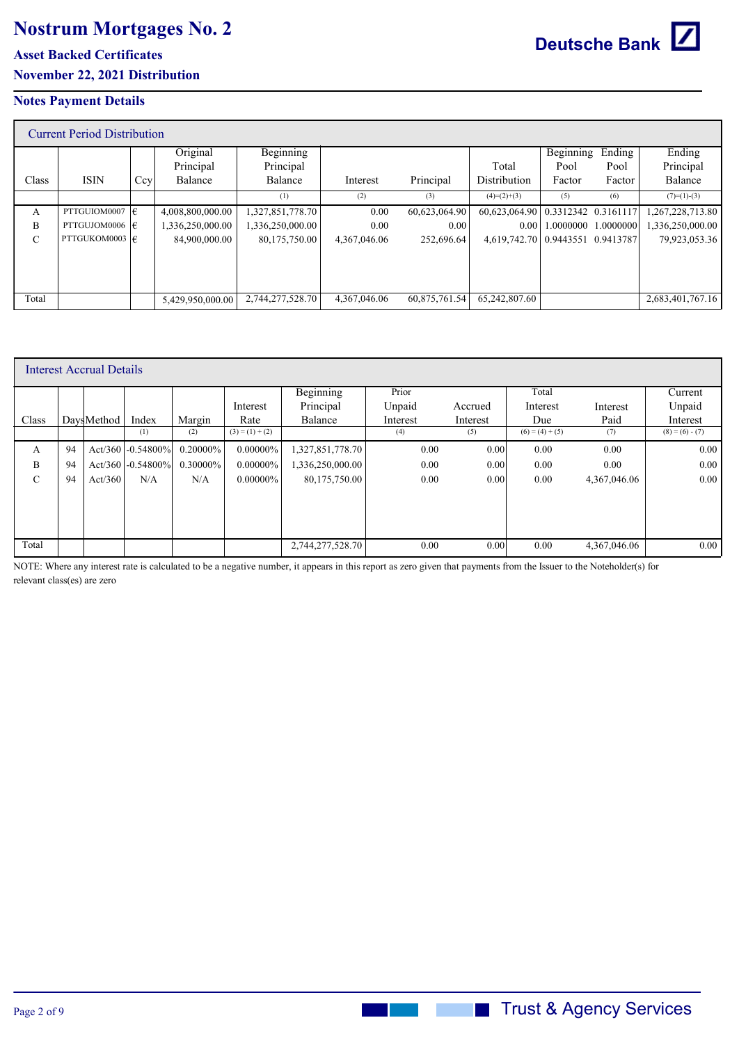**Asset Backed Certificates**

**November 22, 2021 Distribution**

### **Notes Payment Details**

|               | <b>Current Period Distribution</b> |     |                  |                  |              |               |               |                         |           |                  |
|---------------|------------------------------------|-----|------------------|------------------|--------------|---------------|---------------|-------------------------|-----------|------------------|
|               |                                    |     | Original         | <b>Beginning</b> |              |               |               | Beginning               | Ending    | Ending           |
|               |                                    |     | Principal        | Principal        |              |               | Total         | Pool                    | Pool      | Principal        |
| Class         | <b>ISIN</b>                        | Ccy | Balance          | Balance          | Interest     | Principal     | Distribution  | Factor                  | Factor    | Balance          |
|               |                                    |     |                  | (1)              | (2)          | (3)           | $(4)=(2)+(3)$ | (5)                     | (6)       | $(7)=(1)-(3)$    |
| A             | PTTGUIOM0007 $ \epsilon $          |     | 4,008,800,000.00 | 1,327,851,778.70 | 0.00         | 60,623,064.90 | 60,623,064.90 | $0.3312342$ $0.3161117$ |           | 1,267,228,713.80 |
| B             | PTTGUJOM0006 $ \epsilon $          |     | 1,336,250,000.00 | 1,336,250,000.00 | 0.00         | 0.00          | 0.00          | 1.0000000               | 1.0000000 | 1,336,250,000.00 |
| $\mathcal{C}$ | PTTGUKOM0003 $ \epsilon $          |     | 84,900,000.00    | 80,175,750.00    | 4,367,046.06 | 252,696.64    | 4,619,742.70  | $0.9443551$ $0.9413787$ |           | 79,923,053.36    |
|               |                                    |     |                  |                  |              |               |               |                         |           |                  |
|               |                                    |     |                  |                  |              |               |               |                         |           |                  |
|               |                                    |     |                  |                  |              |               |               |                         |           |                  |
| Total         |                                    |     | 5,429,950,000.00 | 2,744,277,528.70 | 4.367.046.06 | 60,875,761.54 | 65.242.807.60 |                         |           | 2,683,401,767.16 |

|       |    | Interest Accrual Details |                      |             |                   |                  |          |          |                   |              |                   |
|-------|----|--------------------------|----------------------|-------------|-------------------|------------------|----------|----------|-------------------|--------------|-------------------|
|       |    |                          |                      |             |                   | <b>Beginning</b> | Prior    |          | Total             |              | Current           |
|       |    |                          |                      |             | Interest          | Principal        | Unpaid   | Accrued  | Interest          | Interest     | Unpaid            |
| Class |    | DavsMethod               | Index                | Margin      | Rate              | Balance          | Interest | Interest | Due               | Paid         | Interest          |
|       |    |                          | (1)                  | (2)         | $(3) = (1) + (2)$ |                  | (4)      | (5)      | $(6) = (4) + (5)$ | (7)          | $(8) = (6) - (7)$ |
| A     | 94 |                          | Act/360 $-0.54800\%$ | $0.20000\%$ | $0.00000\%$       | 1,327,851,778.70 | 0.00     | 0.00     | 0.00              | 0.00         | 0.00              |
| B     | 94 |                          | Act/360 $-0.54800\%$ | $0.30000\%$ | $0.00000\%$       | 1,336,250,000.00 | 0.00     | 0.00     | 0.00              | 0.00         | 0.00              |
| C     | 94 | Act/360                  | N/A                  | N/A         | $0.00000\%$       | 80,175,750.00    | 0.00     | 0.00     | 0.00              | 4,367,046.06 | 0.00              |
|       |    |                          |                      |             |                   |                  |          |          |                   |              |                   |
|       |    |                          |                      |             |                   |                  |          |          |                   |              |                   |
|       |    |                          |                      |             |                   |                  |          |          |                   |              |                   |
| Total |    |                          |                      |             |                   | 2,744,277,528.70 | 0.00     | 0.00     | 0.00              | 4,367,046.06 | 0.00              |

NOTE: Where any interest rate is calculated to be a negative number, it appears in this report as zero given that payments from the Issuer to the Noteholder(s) for relevant class(es) are zero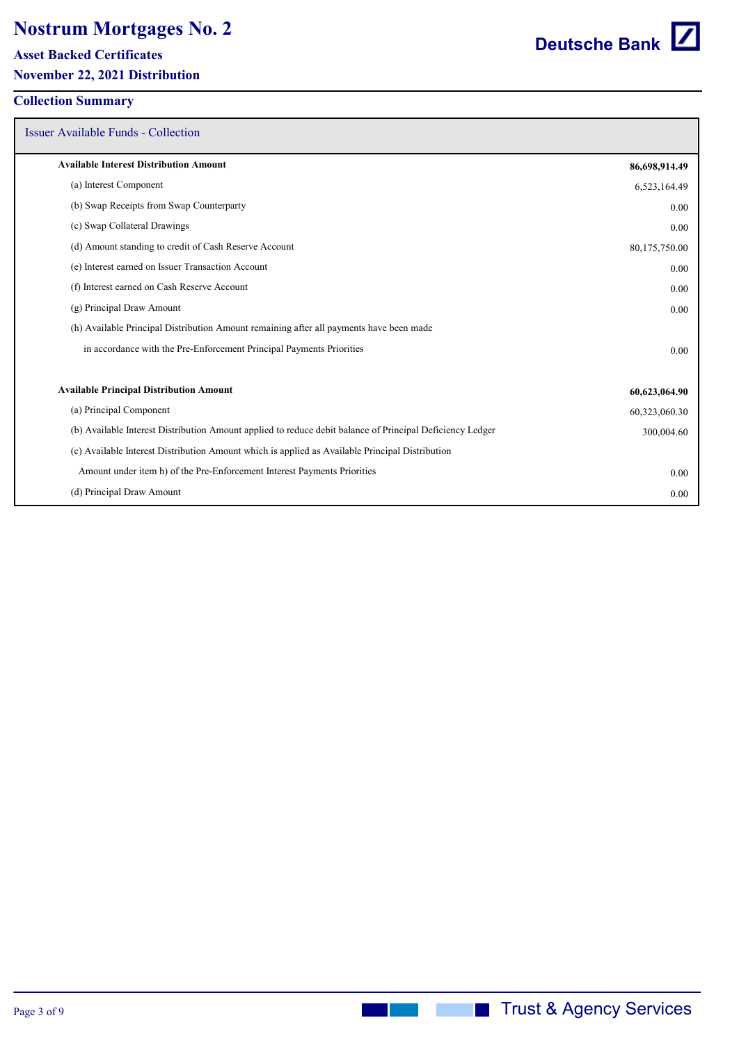**Asset Backed Certificates**

**November 22, 2021 Distribution**

## **Collection Summary**

Issuer Available Funds - Collection

| <b>Available Interest Distribution Amount</b>                                                             | 86,698,914.49 |
|-----------------------------------------------------------------------------------------------------------|---------------|
| (a) Interest Component                                                                                    | 6,523,164.49  |
| (b) Swap Receipts from Swap Counterparty                                                                  | 0.00          |
| (c) Swap Collateral Drawings                                                                              | 0.00          |
| (d) Amount standing to credit of Cash Reserve Account                                                     | 80,175,750.00 |
| (e) Interest earned on Issuer Transaction Account                                                         | 0.00          |
| (f) Interest earned on Cash Reserve Account                                                               | 0.00          |
| (g) Principal Draw Amount                                                                                 | 0.00          |
| (h) Available Principal Distribution Amount remaining after all payments have been made                   |               |
| in accordance with the Pre-Enforcement Principal Payments Priorities                                      | 0.00          |
| <b>Available Principal Distribution Amount</b>                                                            | 60,623,064.90 |
| (a) Principal Component                                                                                   | 60,323,060.30 |
| (b) Available Interest Distribution Amount applied to reduce debit balance of Principal Deficiency Ledger | 300,004.60    |
| (c) Available Interest Distribution Amount which is applied as Available Principal Distribution           |               |
| Amount under item h) of the Pre-Enforcement Interest Payments Priorities                                  | 0.00          |
| (d) Principal Draw Amount                                                                                 | 0.00          |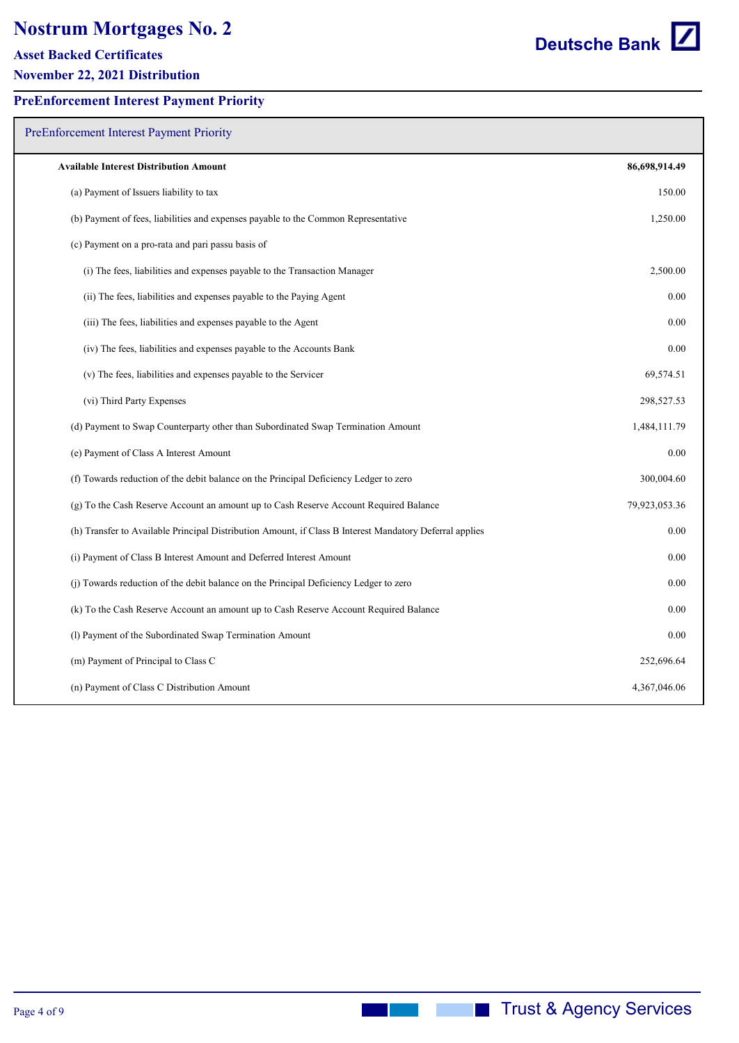#### **Asset Backed Certificates**

**November 22, 2021 Distribution**

| <b>PreEnforcement Interest Payment Priority</b>                                                         |               |
|---------------------------------------------------------------------------------------------------------|---------------|
| <b>Available Interest Distribution Amount</b>                                                           | 86,698,914.49 |
| (a) Payment of Issuers liability to tax                                                                 | 150.00        |
| (b) Payment of fees, liabilities and expenses payable to the Common Representative                      | 1,250.00      |
| (c) Payment on a pro-rata and pari passu basis of                                                       |               |
| (i) The fees, liabilities and expenses payable to the Transaction Manager                               | 2,500.00      |
| (ii) The fees, liabilities and expenses payable to the Paying Agent                                     | 0.00          |
| (iii) The fees, liabilities and expenses payable to the Agent                                           | 0.00          |
| (iv) The fees, liabilities and expenses payable to the Accounts Bank                                    | 0.00          |
| (v) The fees, liabilities and expenses payable to the Servicer                                          | 69,574.51     |
| (vi) Third Party Expenses                                                                               | 298,527.53    |
| (d) Payment to Swap Counterparty other than Subordinated Swap Termination Amount                        | 1,484,111.79  |
| (e) Payment of Class A Interest Amount                                                                  | 0.00          |
| (f) Towards reduction of the debit balance on the Principal Deficiency Ledger to zero                   | 300,004.60    |
| (g) To the Cash Reserve Account an amount up to Cash Reserve Account Required Balance                   | 79,923,053.36 |
| (h) Transfer to Available Principal Distribution Amount, if Class B Interest Mandatory Deferral applies | 0.00          |
| (i) Payment of Class B Interest Amount and Deferred Interest Amount                                     | 0.00          |

(j) Towards reduction of the debit balance on the Principal Deficiency Ledger to zero 0.00

(k) To the Cash Reserve Account an amount up to Cash Reserve Account Required Balance 0.00

(l) Payment of the Subordinated Swap Termination Amount 0.00

(m) Payment of Principal to Class C 252,696.64

(n) Payment of Class C Distribution Amount 4,367,046.06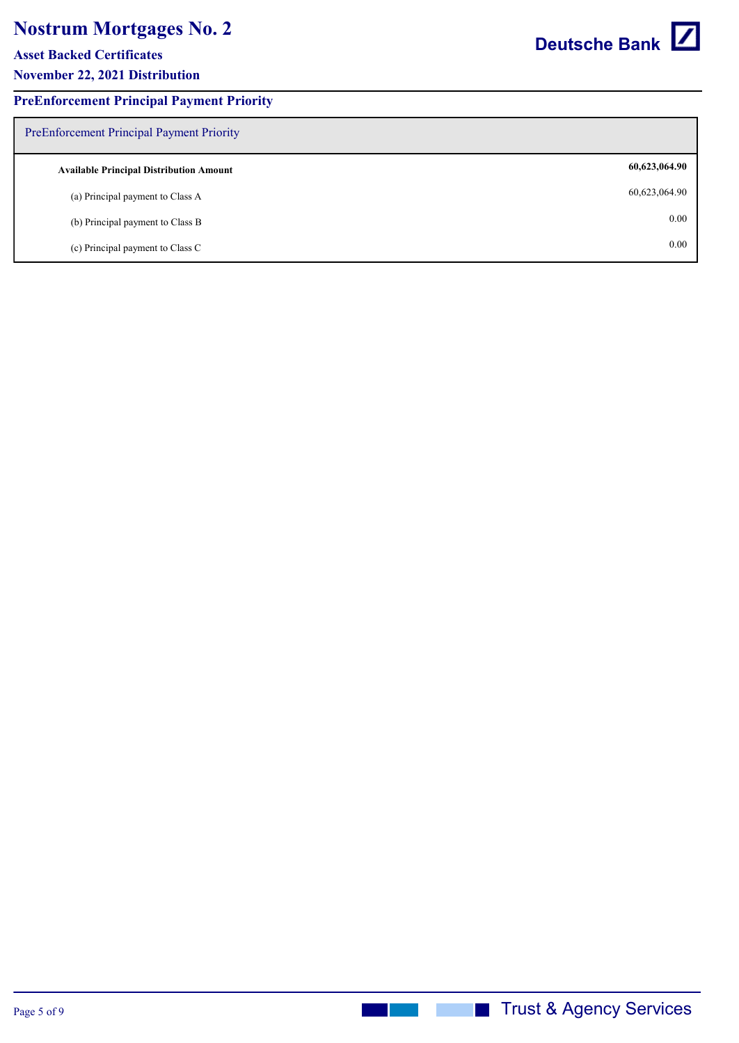**Asset Backed Certificates**

**November 22, 2021 Distribution**

## **PreEnforcement Principal Payment Priority**

| Deutsche Bank |  |
|---------------|--|
|---------------|--|

| <b>PreEnforcement Principal Payment Priority</b> |               |
|--------------------------------------------------|---------------|
| <b>Available Principal Distribution Amount</b>   | 60,623,064.90 |
| (a) Principal payment to Class A                 | 60,623,064.90 |
| (b) Principal payment to Class B                 | 0.00          |
| (c) Principal payment to Class C                 | 0.00          |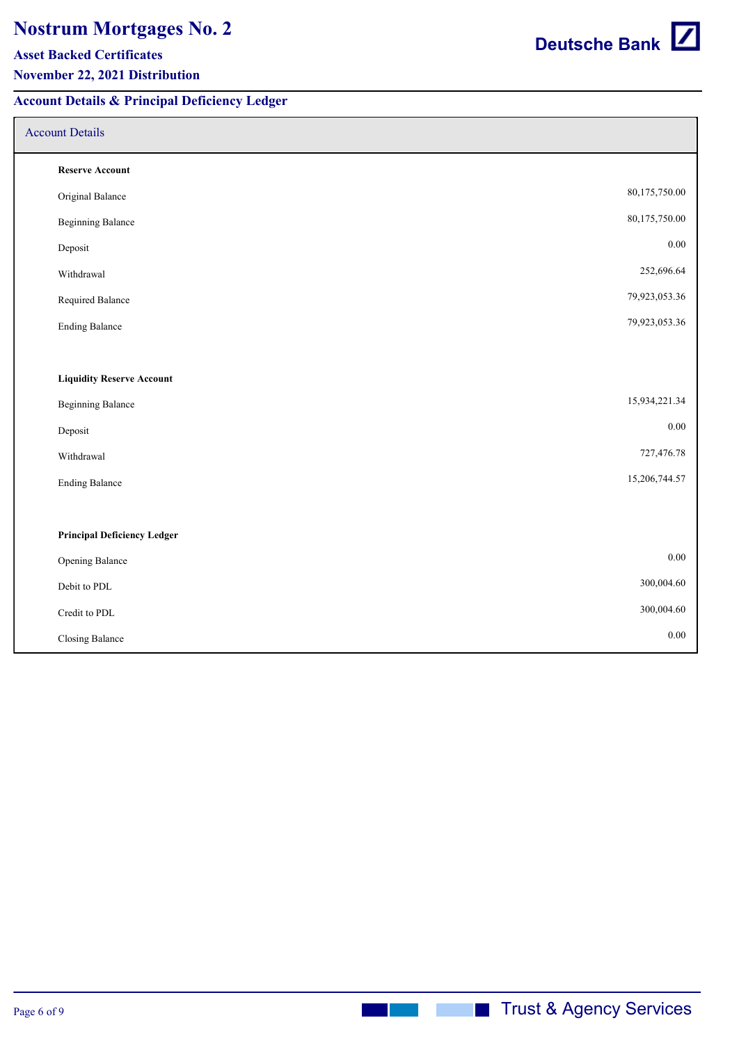#### **Asset Backed Certificates**

### **November 22, 2021 Distribution**

## **Account Details & Principal Deficiency Ledger**

## Account Details

| <b>Reserve Account</b>             |               |
|------------------------------------|---------------|
| Original Balance                   | 80,175,750.00 |
| <b>Beginning Balance</b>           | 80,175,750.00 |
| Deposit                            | $0.00\,$      |
| Withdrawal                         | 252,696.64    |
| Required Balance                   | 79,923,053.36 |
| <b>Ending Balance</b>              | 79,923,053.36 |
|                                    |               |
| <b>Liquidity Reserve Account</b>   |               |
| <b>Beginning Balance</b>           | 15,934,221.34 |
| Deposit                            | $0.00\,$      |
| Withdrawal                         | 727,476.78    |
| <b>Ending Balance</b>              | 15,206,744.57 |
|                                    |               |
| <b>Principal Deficiency Ledger</b> |               |
| Opening Balance                    | 0.00          |
| Debit to PDL                       | 300,004.60    |
| Credit to PDL                      | 300,004.60    |
| Closing Balance                    | 0.00          |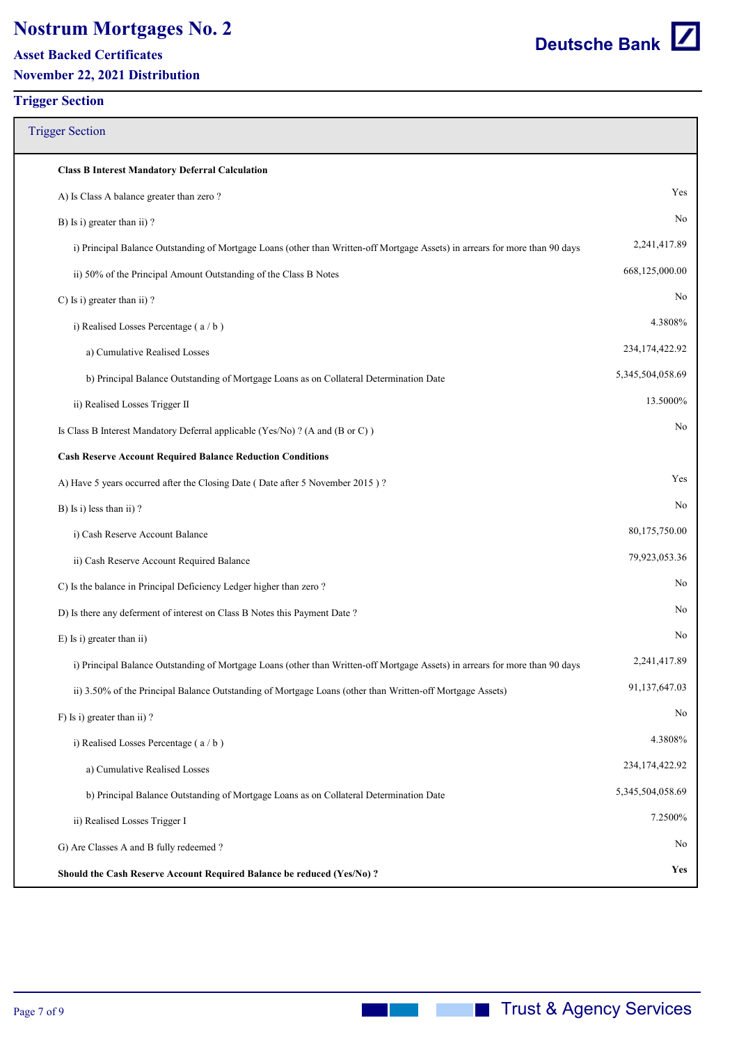**Asset Backed Certificates**

**November 22, 2021 Distribution**

#### **Trigger Section**

# Trigger Section **Class B Interest Mandatory Deferral Calculation** A) Is Class A balance greater than zero ? Yes B) Is i) greater than ii) ? No i) Principal Balance Outstanding of Mortgage Loans (other than Written-off Mortgage Assets) in arrears for more than 90 days 2,241,417.89 ii) 50% of the Principal Amount Outstanding of the Class B Notes 668,125,000.00 C) Is i) greater than ii) ? i) Realised Losses Percentage ( a / b ) 4.3808% a) Cumulative Realised Losses 234,174,422.92 b) Principal Balance Outstanding of Mortgage Loans as on Collateral Determination Date 5,345,504,058.69 ii) Realised Losses Trigger II 13.5000% Is Class B Interest Mandatory Deferral applicable (Yes/No)? (A and (B or C)) No **Cash Reserve Account Required Balance Reduction Conditions** A) Have 5 years occurred after the Closing Date ( Date after 5 November 2015 ) ? Yes B) Is i) less than ii) ? No i) Cash Reserve Account Balance 80,175,750.00 ii) Cash Reserve Account Required Balance 79,923,053.36 C) Is the balance in Principal Deficiency Ledger higher than zero ? No D) Is there any deferment of interest on Class B Notes this Payment Date ? E) Is i) greater than ii) No i) Principal Balance Outstanding of Mortgage Loans (other than Written-off Mortgage Assets) in arrears for more than 90 days 2,241,417.89 ii) 3.50% of the Principal Balance Outstanding of Mortgage Loans (other than Written-off Mortgage Assets) 91,137,647.03 F) Is i) greater than ii) ? No i) Realised Losses Percentage (a/b) 4.3808% a) Cumulative Realised Losses 234,174,422.92 b) Principal Balance Outstanding of Mortgage Loans as on Collateral Determination Date 5,345,504,058.69 ii) Realised Losses Trigger I 7.2500% G) Are Classes A and B fully redeemed ? **Should the Cash Reserve Account Required Balance be reduced (Yes/No) ? Yes**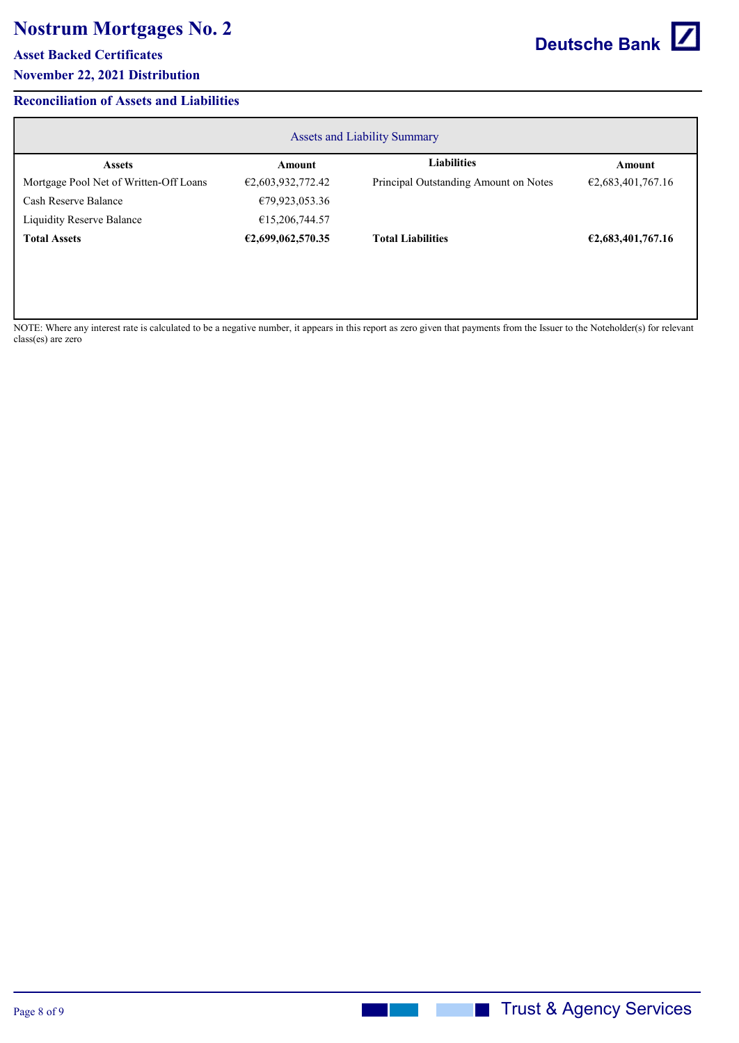#### **Asset Backed Certificates**

## **November 22, 2021 Distribution**

## **Reconciliation of Assets and Liabilities**

| <b>Assets and Liability Summary</b>    |                   |                                       |                   |  |  |
|----------------------------------------|-------------------|---------------------------------------|-------------------|--|--|
| <b>Assets</b>                          | Amount            | <b>Liabilities</b>                    | Amount            |  |  |
| Mortgage Pool Net of Written-Off Loans | €2,603,932,772.42 | Principal Outstanding Amount on Notes | €2,683,401,767.16 |  |  |
| Cash Reserve Balance                   | €79,923,053.36    |                                       |                   |  |  |
| <b>Liquidity Reserve Balance</b>       | €15,206,744.57    |                                       |                   |  |  |
| <b>Total Assets</b>                    | €2,699,062,570.35 | <b>Total Liabilities</b>              | €2,683,401,767.16 |  |  |
|                                        |                   |                                       |                   |  |  |

NOTE: Where any interest rate is calculated to be a negative number, it appears in this report as zero given that payments from the Issuer to the Noteholder(s) for relevant class(es) are zero